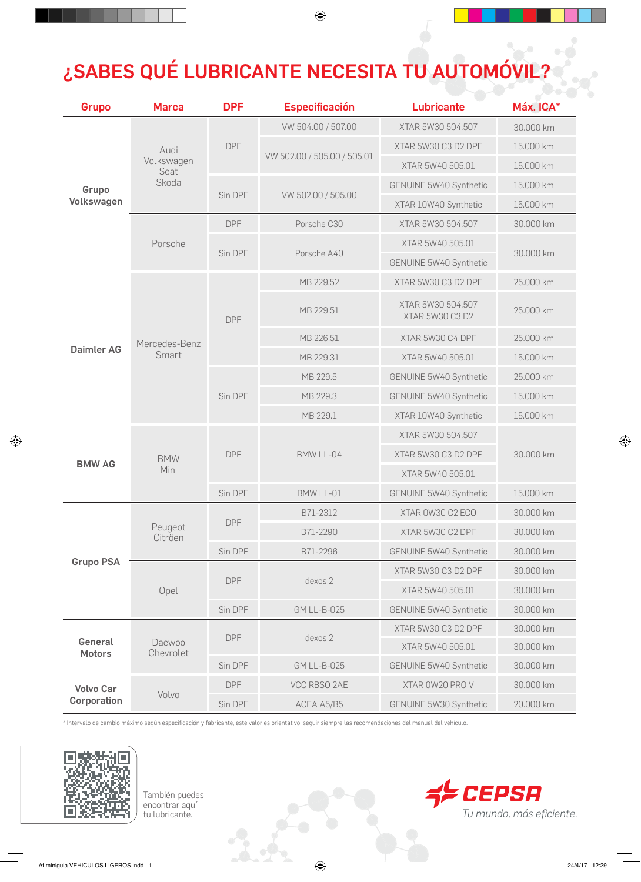## ¿SABES QUÉ LUBRICANTE NECESITA TU AUTOMÓVIL?

 $\bigcirc$ 

| Grupo                           | <b>Marca</b>                        | <b>DPF</b> | <b>Especificación</b>       | <b>Lubricante</b>                    | Máx. ICA* |
|---------------------------------|-------------------------------------|------------|-----------------------------|--------------------------------------|-----------|
| Grupo<br>Volkswagen             | Audi<br>Volkswagen<br>Seat<br>Skoda | <b>DPF</b> | VW 504.00 / 507.00          | XTAR 5W30 504.507                    | 30.000 km |
|                                 |                                     |            | VW 502.00 / 505.00 / 505.01 | XTAR 5W30 C3 D2 DPF                  | 15.000 km |
|                                 |                                     |            |                             | XTAR 5W40 505.01                     | 15.000 km |
|                                 |                                     | Sin DPF    | VW 502.00 / 505.00          | GENUINE 5W40 Synthetic               | 15.000 km |
|                                 |                                     |            |                             | XTAR 10W40 Synthetic                 | 15.000 km |
|                                 | Porsche                             | <b>DPF</b> | Porsche C30                 | XTAR 5W30 504,507                    | 30.000 km |
|                                 |                                     | Sin DPF    | Porsche A40                 | XTAR 5W40 505.01                     | 30.000 km |
|                                 |                                     |            |                             | GENUINE 5W40 Synthetic               |           |
| <b>Daimler AG</b>               | Mercedes-Benz<br>Smart              | <b>DPF</b> | MB 229.52                   | XTAR 5W30 C3 D2 DPF                  | 25,000 km |
|                                 |                                     |            | MB 229.51                   | XTAR 5W30 504.507<br>XTAR 5W30 C3 D2 | 25.000 km |
|                                 |                                     |            | MB 226.51                   | XTAR 5W30 C4 DPF                     | 25.000 km |
|                                 |                                     |            | MB 229.31                   | XTAR 5W40 505.01                     | 15.000 km |
|                                 |                                     | Sin DPF    | MB 229.5                    | GENUINE 5W40 Synthetic               | 25.000 km |
|                                 |                                     |            | MB 229.3                    | GENUINE 5W40 Synthetic               | 15.000 km |
|                                 |                                     |            | MB 229.1                    | XTAR 10W40 Synthetic                 | 15.000 km |
| <b>BMW AG</b>                   | <b>BMW</b><br>Mini                  | <b>DPF</b> | BMW LL-04                   | XTAR 5W30 504.507                    | 30.000 km |
|                                 |                                     |            |                             | XTAR 5W30 C3 D2 DPF                  |           |
|                                 |                                     |            |                             | XTAR 5W40 505.01                     |           |
|                                 |                                     | Sin DPF    | BMW LL-01                   | GENUINE 5W40 Synthetic               | 15.000 km |
|                                 | Peugeot<br>Citröen                  | <b>DPF</b> | B71-2312                    | XTAR 0W30 C2 ECO                     | 30.000 km |
| <b>Grupo PSA</b>                |                                     |            | B71-2290                    | XTAR 5W30 C2 DPF                     | 30.000 km |
|                                 |                                     | Sin DPF    | B71-2296                    | GENUINE 5W40 Synthetic               | 30.000 km |
|                                 | Opel                                | <b>DPF</b> | dexos 2                     | XTAR 5W30 C3 D2 DPF                  | 30.000 km |
|                                 |                                     |            |                             | XTAR 5W40 505.01                     | 30.000 km |
|                                 |                                     | Sin DPF    | <b>GM LL-B-025</b>          | GENUINE 5W40 Synthetic               | 30.000 km |
| General<br><b>Motors</b>        | Daewoo<br>Chevrolet                 | <b>DPF</b> | dexos 2                     | XTAR 5W30 C3 D2 DPF                  | 30.000 km |
|                                 |                                     |            |                             | XTAR 5W40 505.01                     | 30.000 km |
|                                 |                                     | Sin DPF    | <b>GM LL-B-025</b>          | GENUINE 5W40 Synthetic               | 30.000 km |
| <b>Volvo Car</b><br>Corporation | Volvo                               | <b>DPF</b> | VCC RBSO 2AE                | XTAR OW20 PRO V                      | 30.000 km |
|                                 |                                     | Sin DPF    | ACEA A5/B5                  | GENUINE 5W30 Synthetic               | 20.000 km |

\* Intervalo de cambio máximo según especificación y fabricante, este valor es orientativo, seguir siempre las recomendaciones del manual del vehículo.



◈

También puedes encontrar aquí tu lubricante.



 $\bigoplus$